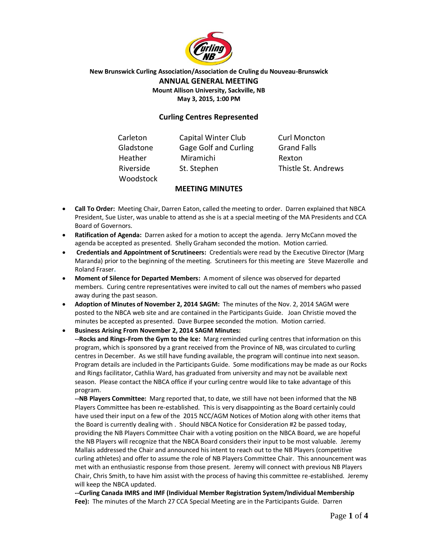

## **New Brunswick Curling Association/Association de Cruling du Nouveau-Brunswick ANNUAL GENERAL MEETING Mount Allison University, Sackville, NB**

**May 3, 2015, 1:00 PM**

## **Curling Centres Represented**

| Carleton  | Capital Winter Club          | Curl Moncton        |
|-----------|------------------------------|---------------------|
| Gladstone | <b>Gage Golf and Curling</b> | <b>Grand Falls</b>  |
| Heather   | Miramichi                    | Rexton              |
| Riverside | St. Stephen                  | Thistle St. Andrews |
| Woodstock |                              |                     |

## **MEETING MINUTES**

- **Call To Order:** Meeting Chair, Darren Eaton, called the meeting to order. Darren explained that NBCA President, Sue Lister, was unable to attend as she is at a special meeting of the MA Presidents and CCA Board of Governors.
- **Ratification of Agenda:** Darren asked for a motion to accept the agenda. Jerry McCann moved the agenda be accepted as presented. Shelly Graham seconded the motion. Motion carried.
- **Credentials and Appointment of Scrutineers:** Credentials were read by the Executive Director (Marg Maranda) prior to the beginning of the meeting. Scrutineers for this meeting are Steve Mazerolle and Roland Fraser**.**
- **Moment of Silence for Departed Members:** A moment of silence was observed for departed members. Curing centre representatives were invited to call out the names of members who passed away during the past season.
- **Adoption of Minutes of November 2, 2014 SAGM:** The minutes of the Nov. 2, 2014 SAGM were posted to the NBCA web site and are contained in the Participants Guide. Joan Christie moved the minutes be accepted as presented. Dave Burpee seconded the motion. Motion carried.

**Business Arising From November 2, 2014 SAGM Minutes:**

**--Rocks and Rings-From the Gym to the Ice:** Marg reminded curling centres that information on this program, which is sponsored by a grant received from the Province of NB, was circulated to curling centres in December. As we still have funding available, the program will continue into next season. Program details are included in the Participants Guide. Some modifications may be made as our Rocks and Rings facilitator, Cathlia Ward, has graduated from university and may not be available next season. Please contact the NBCA office if your curling centre would like to take advantage of this program.

**--NB Players Committee:** Marg reported that, to date, we still have not been informed that the NB Players Committee has been re-established. This is very disappointing as the Board certainly could have used their input on a few of the 2015 NCC/AGM Notices of Motion along with other items that the Board is currently dealing with . Should NBCA Notice for Consideration #2 be passed today, providing the NB Players Committee Chair with a voting position on the NBCA Board, we are hopeful the NB Players will recognize that the NBCA Board considers their input to be most valuable. Jeremy Mallais addressed the Chair and announced his intent to reach out to the NB Players (competitive curling athletes) and offer to assume the role of NB Players Committee Chair. This announcement was met with an enthusiastic response from those present. Jeremy will connect with previous NB Players Chair, Chris Smith, to have him assist with the process of having this committee re-established. Jeremy will keep the NBCA updated.

**--Curling Canada IMRS and IMF (Individual Member Registration System/Individual Membership Fee):** The minutes of the March 27 CCA Special Meeting are in the Participants Guide. Darren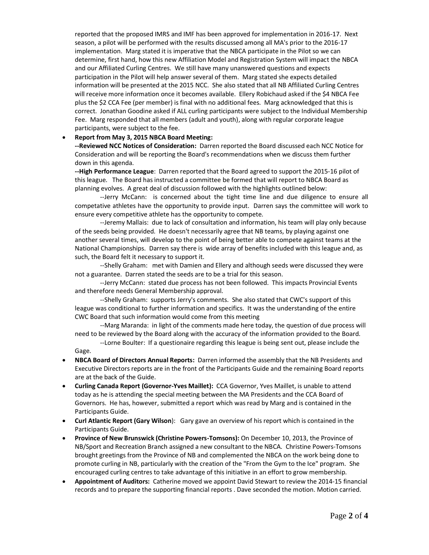reported that the proposed IMRS and IMF has been approved for implementation in 2016-17. Next season, a pilot will be performed with the results discussed among all MA's prior to the 2016-17 implementation. Marg stated it is imperative that the NBCA participate in the Pilot so we can determine, first hand, how this new Affiliation Model and Registration System will impact the NBCA and our Affiliated Curling Centres. We still have many unanswered questions and expects participation in the Pilot will help answer several of them. Marg stated she expects detailed information will be presented at the 2015 NCC. She also stated that all NB Affiliated Curling Centres will receive more information once it becomes available. Ellery Robichaud asked if the \$4 NBCA Fee plus the \$2 CCA Fee (per member) is final with no additional fees. Marg acknowledged that this is correct. Jonathan Goodine asked if ALL curling participants were subject to the Individual Membership Fee. Marg responded that all members (adult and youth), along with regular corporate league participants, were subject to the fee.

## **Report from May 3, 2015 NBCA Board Meeting:**

**--Reviewed NCC Notices of Consideration:** Darren reported the Board discussed each NCC Notice for Consideration and will be reporting the Board's recommendations when we discuss them further down in this agenda.

**--High Performance League**: Darren reported that the Board agreed to support the 2015-16 pilot of this league. The Board has instructed a committee be formed that will report to NBCA Board as planning evolves. A great deal of discussion followed with the highlights outlined below:

--Jerry McCann: is concerned about the tight time line and due diligence to ensure all competative athletes have the opportunity to provide input. Darren says the committee will work to ensure every competitive athlete has the opportunity to compete.

--Jeremy Mallais: due to lack of consultation and information, his team will play only because of the seeds being provided. He doesn't necessarily agree that NB teams, by playing against one another several times, will develop to the point of being better able to compete against teams at the National Championships. Darren say there is wide array of benefits included with this league and, as such, the Board felt it necessary to support it.

--Shelly Graham: met with Damien and Ellery and although seeds were discussed they were not a guarantee. Darren stated the seeds are to be a trial for this season.

--Jerry McCann: stated due process has not been followed. This impacts Provincial Events and therefore needs General Membership approval.

--Shelly Graham: supports Jerry's comments. She also stated that CWC's support of this league was conditional to further information and specifics. It was the understanding of the entire CWC Board that such information would come from this meeting

--Marg Maranda: in light of the comments made here today, the question of due process will need to be reviewed by the Board along with the accuracy of the information provided to the Board.

--Lorne Boulter: If a questionaire regarding this league is being sent out, please include the Gage.

- **NBCA Board of Directors Annual Reports:** Darren informed the assembly that the NB Presidents and Executive Directors reports are in the front of the Participants Guide and the remaining Board reports are at the back of the Guide.
- **Curling Canada Report (Governor-Yves Maillet):** CCA Governor, Yves Maillet, is unable to attend today as he is attending the special meeting between the MA Presidents and the CCA Board of Governors. He has, however, submitted a report which was read by Marg and is contained in the Participants Guide.
- **Curl Atlantic Report (Gary Wilson**): Gary gave an overview of his report which is contained in the Participants Guide.
- **Province of New Brunswick (Christine Powers-Tomsons):** On December 10, 2013, the Province of NB/Sport and Recreation Branch assigned a new consultant to the NBCA. Christine Powers-Tomsons brought greetings from the Province of NB and complemented the NBCA on the work being done to promote curling in NB, particularly with the creation of the "From the Gym to the Ice" program. She encouraged curling centres to take advantage of this initiative in an effort to grow membership.
- **Appointment of Auditors:** Catherine moved we appoint David Stewart to review the 2014-15 financial records and to prepare the supporting financial reports . Dave seconded the motion. Motion carried.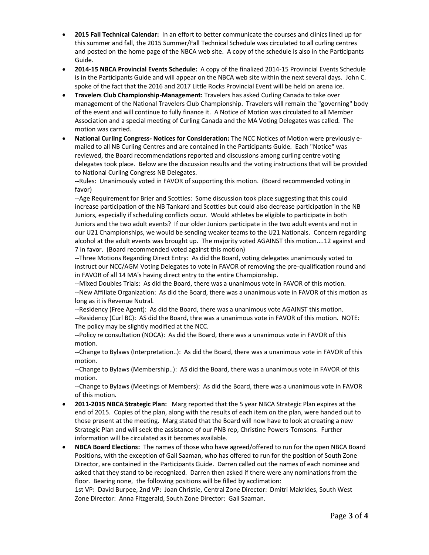- **2015 Fall Technical Calendar:** In an effort to better communicate the courses and clinics lined up for this summer and fall, the 2015 Summer/Fall Technical Schedule was circulated to all curling centres and posted on the home page of the NBCA web site. A copy of the schedule is also in the Participants Guide.
- **2014-15 NBCA Provincial Events Schedule:** A copy of the finalized 2014-15 Provincial Events Schedule is in the Participants Guide and will appear on the NBCA web site within the next several days. John C. spoke of the fact that the 2016 and 2017 Little Rocks Provincial Event will be held on arena ice.
- **Travelers Club Championship-Management:** Travelers has asked Curling Canada to take over management of the National Travelers Club Championship. Travelers will remain the "governing" body of the event and will continue to fully finance it. A Notice of Motion was circulated to all Member Association and a special meeting of Curling Canada and the MA Voting Delegates was called. The motion was carried.
- **National Curling Congress- Notices for Consideration:** The NCC Notices of Motion were previously emailed to all NB Curling Centres and are contained in the Participants Guide. Each "Notice" was reviewed, the Board recommendations reported and discussions among curling centre voting delegates took place. Below are the discussion results and the voting instructions that will be provided to National Curling Congress NB Delegates.

--Rules: Unanimously voted in FAVOR of supporting this motion. (Board recommended voting in favor)

--Age Requirement for Brier and Scotties: Some discussion took place suggesting that this could increase participation of the NB Tankard and Scotties but could also decrease participation in the NB Juniors, especially if scheduling conflicts occur. Would athletes be eligible to participate in both Juniors and the two adult events? If our older Juniors participate in the two adult events and not in our U21 Championships, we would be sending weaker teams to the U21 Nationals. Concern regarding alcohol at the adult events was brought up. The majority voted AGAINST this motion....12 against and 7 in favor. (Board recommended voted against this motion)

--Three Motions Regarding Direct Entry: As did the Board, voting delegates unanimously voted to instruct our NCC/AGM Voting Delegates to vote in FAVOR of removing the pre-qualification round and in FAVOR of all 14 MA's having direct entry to the entire Championship.

--Mixed Doubles Trials: As did the Board, there was a unanimous vote in FAVOR of this motion.

--New Affiliate Organization: As did the Board, there was a unanimous vote in FAVOR of this motion as long as it is Revenue Nutral.

--Residency (Free Agent): As did the Board, there was a unanimous vote AGAINST this motion.

--Residency (Curl BC): AS did the Board, thre was a unanimous vote in FAVOR of this motion. NOTE: The policy may be slightly modified at the NCC.

--Policy re consultation (NOCA): As did the Board, there was a unanimous vote in FAVOR of this motion.

--Change to Bylaws (Interpretation..): As did the Board, there was a unanimous vote in FAVOR of this motion.

--Change to Bylaws (Membership..): AS did the Board, there was a unanimous vote in FAVOR of this motion.

--Change to Bylaws (Meetings of Members): As did the Board, there was a unanimous vote in FAVOR of this motion.

- **2011-2015 NBCA Strategic Plan:** Marg reported that the 5 year NBCA Strategic Plan expires at the end of 2015. Copies of the plan, along with the results of each item on the plan, were handed out to those present at the meeting. Marg stated that the Board will now have to look at creating a new Strategic Plan and will seek the assistance of our PNB rep, Christine Powers-Tomsons. Further information will be circulated as it becomes available.
- **NBCA Board Elections:** The names of those who have agreed/offered to run for the open NBCA Board Positions, with the exception of Gail Saaman, who has offered to run for the position of South Zone Director, are contained in the Participants Guide. Darren called out the names of each nominee and asked that they stand to be recognized. Darren then asked if there were any nominations from the floor. Bearing none, the following positions will be filled by acclimation:

1st VP: David Burpee, 2nd VP: Joan Christie, Central Zone Director: Dmitri Makrides, South West Zone Director: Anna Fitzgerald, South Zone Director: Gail Saaman.